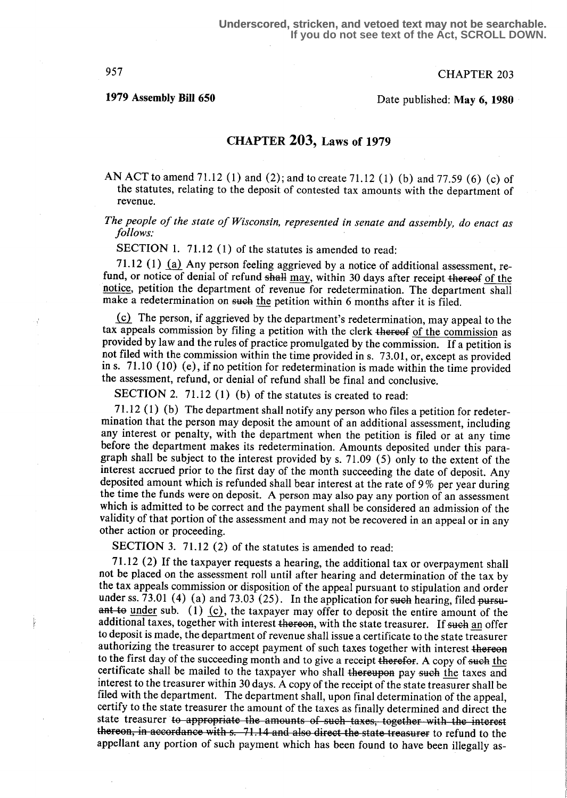957 CHAPTER 203

# 1979 Assembly Bill 650 Date published: May 6, 1980

### CHAPTER 203, Laws of 1979

AN ACT to amend 71.12 (1) and (2); and to create 71.12 (1) (b) and 77.59 (6) (c) of the statutes, relating to the deposit of contested tax amounts with the department of revenue.

# The people of the state of Wisconsin, represented in senate and assembly, do enact as follows:

SECTION 1. 71.12 (1) of the statutes is amended to read:

71.12 (1) (a) Any person feeling aggrieved by a notice of additional assessment, refund, or notice of denial of refund shall may, within 30 days after receipt thereof of the notice, petition the department of revenue for redetermination. The department shall make a redetermination on such the petition within 6 months after it is filed.

(c) The person, if aggrieved by the department's redetermination, may appeal to the tax appeals commission by filing a petition with the clerk thereof of the commission as provided by law and the rules of practice promulgated by the commission. If a petition is not filed with the commission within the time provided in s. 73.01, or, except as provided in s. 71 .10 (10) (e), if no petition for redetermination is made within the time provided the assessment, refund, or denial of refund shall be final and conclusive.

SECTION 2. 71.12 (1) (b) of the statutes is created to read:

<sup>71</sup> .12 (1) (b) The department shall notify any person who files a petition for redetermination that the person may deposit the amount of an additional assessment, including any interest or penalty, with the department when the petition is filed or at any time before the department makes its redetermination. Amounts deposited under this paragraph shall be subject to the interest provided by s. 71 .09 (5) only to the extent of the interest accrued prior to the first day of the month succeeding the date of deposit. Any deposited amount which is refunded shall bear interest at the rate of 9 % per year during the time the funds were on deposit. A person may also pay any portion of an assessment which is admitted to be correct and the payment shall be considered an admission of the validity of that portion of the assessment and may not be recovered in an appeal or in any other action or proceeding.

SECTION 3. 71.12 (2) of the statutes is amended to read:

<sup>71</sup> .12 (2) If the taxpayer requests a hearing, the additional tax or overpayment shall not be placed on the assessment roll until after hearing and determination of the tax by the tax appeals commission or disposition of the appeal pursuant to stipulation and order under ss. 73.01 (4) (a) and 73.03 (25). In the application for such hearing, filed pursuant to under sub. (1) (c), the taxpayer may offer to deposit the entire amount of the additional taxes, together with interest thereon, with the state treasurer. If such an offer to deposit is made, the department of revenue shall issue a certificate to the state treasurer authorizing the treasurer to accept payment of such taxes together with interest thereon to the first day of the succeeding month and to give a receipt therefor. A copy of such the certificate shall be mailed to the taxpayer who shall thereupon pay such the taxes and interest to the treasurer within 30 days. A copy of the receipt of the state treasurer shall be filed with the department. The department shall, upon final determination of the appeal, certify to the state treasurer the amount of the taxes as finally determined and direct the state treasurer to appropriate the amounts of such taxes, together with the interest thereon, in accordance with s. 71.14 and also direct the state treasurer to refund to the appellant any portion of such payment which has been found to have been illegally as-